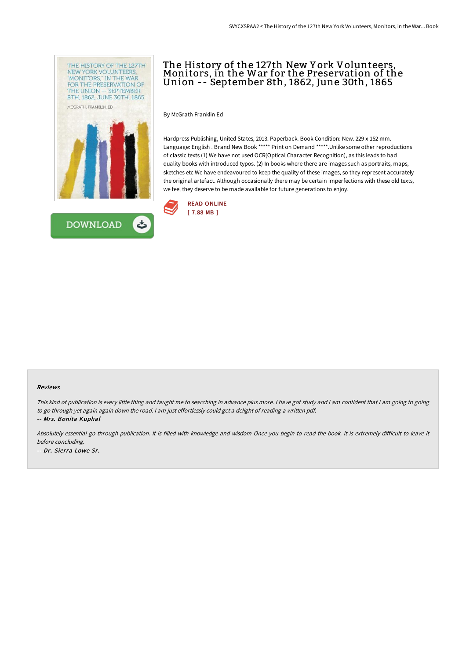



# The History of the 127th New York Volunteers,<br>Monitors, in the War for the Preservation of the Union -- September 8th, 1862, June 30th, 1865

By McGrath Franklin Ed

Hardpress Publishing, United States, 2013. Paperback. Book Condition: New. 229 x 152 mm. Language: English . Brand New Book \*\*\*\*\* Print on Demand \*\*\*\*\*.Unlike some other reproductions of classic texts (1) We have not used OCR(Optical Character Recognition), as this leads to bad quality books with introduced typos. (2) In books where there are images such as portraits, maps, sketches etc We have endeavoured to keep the quality of these images, so they represent accurately the original artefact. Although occasionally there may be certain imperfections with these old texts, we feel they deserve to be made available for future generations to enjoy.



#### Reviews

This kind of publication is every little thing and taught me to searching in advance plus more. <sup>I</sup> have got study and i am confident that i am going to going to go through yet again again down the road. <sup>I</sup> am just effortlessly could get <sup>a</sup> delight of reading <sup>a</sup> written pdf. -- Mrs. Bonita Kuphal

Absolutely essential go through publication. It is filled with knowledge and wisdom Once you begin to read the book, it is extremely difficult to leave it before concluding.

-- Dr. Sierra Lowe Sr.